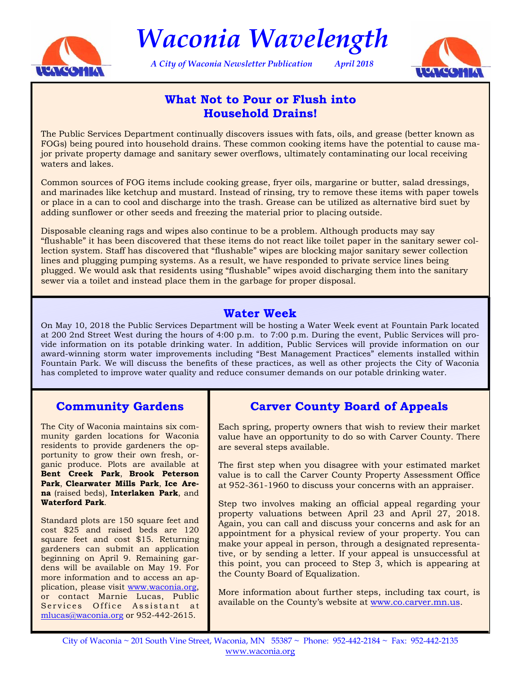

*Waconia Wavelength* 

*A City of Waconia Newsletter Publication April 2018* 



# **What Not to Pour or Flush into Household Drains!**

The Public Services Department continually discovers issues with fats, oils, and grease (better known as FOGs) being poured into household drains. These common cooking items have the potential to cause major private property damage and sanitary sewer overflows, ultimately contaminating our local receiving waters and lakes.

Common sources of FOG items include cooking grease, fryer oils, margarine or butter, salad dressings, and marinades like ketchup and mustard. Instead of rinsing, try to remove these items with paper towels or place in a can to cool and discharge into the trash. Grease can be utilized as alternative bird suet by adding sunflower or other seeds and freezing the material prior to placing outside.

Disposable cleaning rags and wipes also continue to be a problem. Although products may say "flushable" it has been discovered that these items do not react like toilet paper in the sanitary sewer collection system. Staff has discovered that "flushable" wipes are blocking major sanitary sewer collection lines and plugging pumping systems. As a result, we have responded to private service lines being plugged. We would ask that residents using "flushable" wipes avoid discharging them into the sanitary sewer via a toilet and instead place them in the garbage for proper disposal.

# **Water Week**

On May 10, 2018 the Public Services Department will be hosting a Water Week event at Fountain Park located at 200 2nd Street West during the hours of 4:00 p.m. to 7:00 p.m. During the event, Public Services will provide information on its potable drinking water. In addition, Public Services will provide information on our award-winning storm water improvements including "Best Management Practices" elements installed within Fountain Park. We will discuss the benefits of these practices, as well as other projects the City of Waconia has completed to improve water quality and reduce consumer demands on our potable drinking water.

# **Community Gardens**

The City of Waconia maintains six community garden locations for Waconia residents to provide gardeners the opportunity to grow their own fresh, organic produce. Plots are available at **Bent Creek Park**, **Brook Peterson Park**, **Clearwater Mills Park**, **Ice Arena** (raised beds), **Interlaken Park**, and **Waterford Park**.

Standard plots are 150 square feet and cost \$25 and raised beds are 120 square feet and cost \$15. Returning gardeners can submit an application beginning on April 9. Remaining gardens will be available on May 19. For more information and to access an application, please visit [www.waconia.org,](http://waconia.org/439/Community-Gardens)  or contact Marnie Lucas, Public Services Office Assistant at mlucas@waconia.org or 952-442-2615.

# **Carver County Board of Appeals**

Each spring, property owners that wish to review their market value have an opportunity to do so with Carver County. There are several steps available.

The first step when you disagree with your estimated market value is to call the Carver County Property Assessment Office at 952-361-1960 to discuss your concerns with an appraiser.

Step two involves making an official appeal regarding your property valuations between April 23 and April 27, 2018. Again, you can call and discuss your concerns and ask for an appointment for a physical review of your property. You can make your appeal in person, through a designated representative, or by sending a letter. If your appeal is unsuccessful at this point, you can proceed to Step 3, which is appearing at the County Board of Equalization.

More information about further steps, including tax court, is available on the County's website at [www.co.carver.mn.us.](https://www.co.carver.mn.us/departments/property-financial-services/property-assessment/appeals-process)